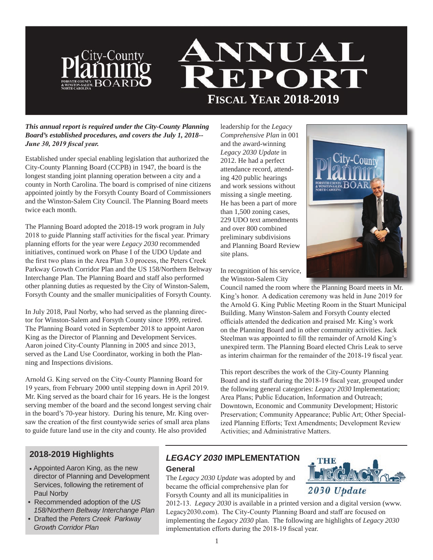

#### *This annual report is required under the City-County Planning Board's established procedures, and covers the July 1, 2018-- June 30, 2019 fiscal year.*

Established under special enabling legislation that authorized the City-County Planning Board (CCPB) in 1947, the board is the longest standing joint planning operation between a city and a county in North Carolina. The board is comprised of nine citizens appointed jointly by the Forsyth County Board of Commissioners and the Winston-Salem City Council. The Planning Board meets twice each month.

The Planning Board adopted the 2018-19 work program in July 2018 to guide Planning staff activities for the fiscal year. Primary planning efforts for the year were *Legacy 2030* recommended initiatives, continued work on Phase I of the UDO Update and the first two plans in the Area Plan 3.0 process, the Peters Creek Parkway Growth Corridor Plan and the US 158/Northern Beltway Interchange Plan. The Planning Board and staff also performed other planning duties as requested by the City of Winston-Salem, Forsyth County and the smaller municipalities of Forsyth County.

In July 2018, Paul Norby, who had served as the planning director for Winston-Salem and Forsyth County since 1999, retired. The Planning Board voted in September 2018 to appoint Aaron King as the Director of Planning and Development Services. Aaron joined City-County Planning in 2005 and since 2013, served as the Land Use Coordinator, working in both the Planning and Inspections divisions.

Arnold G. King served on the City-County Planning Board for 19 years, from February 2000 until stepping down in April 2019. Mr. King served as the board chair for 16 years. He is the longest serving member of the board and the second longest serving chair in the board's 70-year history. During his tenure, Mr. King oversaw the creation of the first countywide series of small area plans to guide future land use in the city and county. He also provided

leadership for the *Legacy Comprehensive Plan* in 001 and the award-winning *Legacy 2030 Update* in 2012. He had a perfect attendance record, attending 420 public hearings and work sessions without missing a single meeting. He has been a part of more than 1,500 zoning cases, 229 UDO text amendments and over 800 combined preliminary subdivisions and Planning Board Review site plans.



In recognition of his service, the Winston-Salem City

Council named the room where the Planning Board meets in Mr. King's honor. A dedication ceremony was held in June 2019 for the Arnold G. King Public Meeting Room in the Stuart Municipal Building. Many Winston-Salem and Forsyth County elected officials attended the dedication and praised Mr. King's work on the Planning Board and in other community activities. Jack Steelman was appointed to fill the remainder of Arnold King's unexpired term. The Planning Board elected Chris Leak to serve as interim chairman for the remainder of the 2018-19 fiscal year.

This report describes the work of the City-County Planning Board and its staff during the 2018-19 fiscal year, grouped under the following general categories: *Legacy 2030* Implementation; Area Plans; Public Education, Information and Outreach; Downtown, Economic and Community Development; Historic Preservation; Community Appearance; Public Art; Other Specialized Planning Efforts; Text Amendments; Development Review Activities; and Administrative Matters.

# **2018-2019 Highlights**

- Appointed Aaron King, as the new director of Planning and Development Services, following the retirement of Paul Norby
- Recommended adoption of the *US 158/Northern Beltway Interchange Plan*
- Drafted the *Peters Creek Parkway Growth Corridor Plan*

# *LEGACY 2030* **IMPLEMENTATION**

#### **General**

The *Legacy 2030 Update* was adopted by and became the official comprehensive plan for Forsyth County and all its municipalities in



2012-13. *Legacy 2030* is available in a printed version and a digital version (www. Legacy2030.com). The City-County Planning Board and staff are focused on implementing the *Legacy 2030* plan. The following are highlights of *Legacy 2030* implementation efforts during the 2018-19 fiscal year.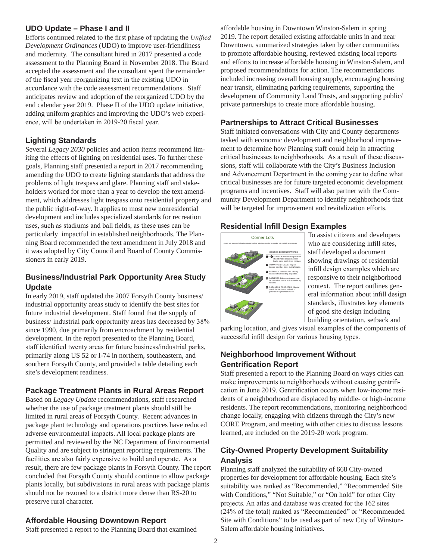### **UDO Update – Phase I and II**

Efforts continued related to the first phase of updating the *Unified Development Ordinances* (UDO) to improve user-friendliness and modernity. The consultant hired in 2017 presented a code assessment to the Planning Board in November 2018. The Board accepted the assessment and the consultant spent the remainder of the fiscal year reorganizing text in the existing UDO in accordance with the code assessment recommendations. Staff anticipates review and adoption of the reorganized UDO by the end calendar year 2019. Phase II of the UDO update initiative, adding uniform graphics and improving the UDO's web experience, will be undertaken in 2019-20 fiscal year.

# **Lighting Standards**

Several *Legacy 2030* policies and action items recommend limiting the effects of lighting on residential uses. To further these goals, Planning staff presented a report in 2017 recommending amending the UDO to create lighting standards that address the problems of light trespass and glare. Planning staff and stakeholders worked for more than a year to develop the text amendment, which addresses light trespass onto residential property and the public right-of-way. It applies to most new nonresidential development and includes specialized standards for recreation uses, such as stadiums and ball fields, as these uses can be particularly impactful in established neighborhoods. The Planning Board recommended the text amendment in July 2018 and it was adopted by City Council and Board of County Commissioners in early 2019.

# **Business/Industrial Park Opportunity Area Study Update**

In early 2019, staff updated the 2007 Forsyth County business/ industrial opportunity areas study to identify the best sites for future industrial development. Staff found that the supply of business/ industrial park opportunity areas has decreased by 38% since 1990, due primarily from encroachment by residential development. In the report presented to the Planning Board, staff identified twenty areas for future business/industrial parks, primarily along US 52 or I-74 in northern, southeastern, and southern Forsyth County, and provided a table detailing each site's development readiness.

# **Package Treatment Plants in Rural Areas Report**

Based on *Legacy Update* recommendations, staff researched whether the use of package treatment plants should still be limited in rural areas of Forsyth County. Recent advances in package plant technology and operations practices have reduced adverse environmental impacts. All local package plants are permitted and reviewed by the NC Department of Environmental Quality and are subject to stringent reporting requirements. The facilities are also fairly expensive to build and operate. As a result, there are few package plants in Forsyth County. The report concluded that Forsyth County should continue to allow package plants locally, but subdivisions in rural areas with package plants should not be rezoned to a district more dense than RS-20 to preserve rural character.

### **Affordable Housing Downtown Report**

Staff presented a report to the Planning Board that examined

affordable housing in Downtown Winston-Salem in spring 2019. The report detailed existing affordable units in and near Downtown, summarized strategies taken by other communities to promote affordable housing, reviewed existing local reports and efforts to increase affordable housing in Winston-Salem, and proposed recommendations for action. The recommendations included increasing overall housing supply, encouraging housing near transit, eliminating parking requirements, supporting the development of Community Land Trusts, and supporting public/ private partnerships to create more affordable housing.

## **Partnerships to Attract Critical Businesses**

Staff initiated conversations with City and County departments tasked with economic development and neighborhood improvement to determine how Planning staff could help in attracting critical businesses to neighborhoods. As a result of these discussions, staff will collaborate with the City's Business Inclusion and Advancement Department in the coming year to define what critical businesses are for future targeted economic development programs and incentives. Staff will also partner with the Community Development Department to identify neighborhoods that will be targeted for improvement and revitalization efforts.

# **Residential Infill Design Examples**



To assist citizens and developers who are considering infill sites, staff developed a document showing drawings of residential infill design examples which are responsive to their neighborhood context. The report outlines general information about infill design standards, illustrates key elements of good site design including building orientation, setback and

parking location, and gives visual examples of the components of successful infill design for various housing types.

# **Neighborhood Improvement Without Gentrification Report**

Staff presented a report to the Planning Board on ways cities can make improvements to neighborhoods without causing gentrification in June 2019. Gentrification occurs when low-income residents of a neighborhood are displaced by middle- or high-income residents. The report recommendations, monitoring neighborhood change locally, engaging with citizens through the City's new CORE Program, and meeting with other cities to discuss lessons learned, are included on the 2019-20 work program.

# **City-Owned Property Development Suitability Analysis**

Planning staff analyzed the suitability of 668 City-owned properties for development for affordable housing. Each site's suitability was ranked as "Recommended," "Recommended Site with Conditions," "Not Suitable," or "On hold" for other City projects. An atlas and database was created for the 162 sites (24% of the total) ranked as "Recommended" or "Recommended Site with Conditions" to be used as part of new City of Winston-Salem affordable housing initiatives.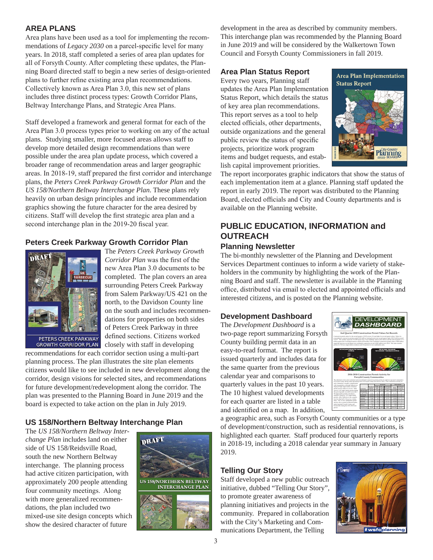### **AREA PLANS**

Area plans have been used as a tool for implementing the recommendations of *Legacy 2030* on a parcel-specific level for many years. In 2018, staff completed a series of area plan updates for all of Forsyth County. After completing these updates, the Planning Board directed staff to begin a new series of design-oriented plans to further refine existing area plan recommendations. Collectively known as Area Plan 3.0, this new set of plans includes three distinct process types: Growth Corridor Plans, Beltway Interchange Plans, and Strategic Area Plans.

Staff developed a framework and general format for each of the Area Plan 3.0 process types prior to working on any of the actual plans. Studying smaller, more focused areas allows staff to develop more detailed design recommendations than were possible under the area plan update process, which covered a broader range of recommendation areas and larger geographic areas. In 2018-19, staff prepared the first corridor and interchange plans, the *Peters Creek Parkway Growth Corridor Plan* and the *US 158/Northern Beltway Interchange Plan*. These plans rely heavily on urban design principles and include recommendation graphics showing the future character for the area desired by citizens. Staff will develop the first strategic area plan and a second interchange plan in the 2019-20 fiscal year.

# **Peters Creek Parkway Growth Corridor Plan**



GROWTH CORRIDOR PLAN

The *Peters Creek Parkway Growth Corridor Plan* was the first of the new Area Plan 3.0 documents to be completed. The plan covers an area surrounding Peters Creek Parkway from Salem Parkway/US 421 on the north, to the Davidson County line on the south and includes recommendations for properties on both sides of Peters Creek Parkway in three defined sections. Citizens worked closely with staff in developing

recommendations for each corridor section using a multi-part planning process. The plan illustrates the site plan elements citizens would like to see included in new development along the corridor, design visions for selected sites, and recommendations for future development/redevelopment along the corridor. The plan was presented to the Planning Board in June 2019 and the board is expected to take action on the plan in July 2019.

# **US 158/Northern Beltway Interchange Plan**

The *US 158/Northern Beltway Interchange Plan* includes land on either side of US 158/Reidsville Road, south the new Northern Beltway interchange. The planning process had active citizen participation, with approximately 200 people attending four community meetings. Along with more generalized recommendations, the plan included two mixed-use site design concepts which show the desired character of future



development in the area as described by community members. This interchange plan was recommended by the Planning Board in June 2019 and will be considered by the Walkertown Town Council and Forsyth County Commissioners in fall 2019.

#### **Area Plan Status Report**

Every two years, Planning staff updates the Area Plan Implementation Status Report, which details the status of key area plan recommendations. This report serves as a tool to help elected officials, other departments, outside organizations and the general public review the status of specific projects, prioritize work program items and budget requests, and establish capital improvement priorities.



The report incorporates graphic indicators that show the status of each implementation item at a glance. Planning staff updated the report in early 2019. The report was distributed to the Planning Board, elected officials and City and County departments and is available on the Planning website.

# **PUBLIC EDUCATION, INFORMATION and OUTREACH**

#### **Planning Newsletter**

The bi-monthly newsletter of the Planning and Development Services Department continues to inform a wide variety of stakeholders in the community by highlighting the work of the Planning Board and staff. The newsletter is available in the Planning office, distributed via email to elected and appointed officials and interested citizens, and is posted on the Planning website.

#### **Development Dashboard**

The *Development Dashboard* is a two-page report summarizing Forsyth County building permit data in an easy-to-read format. The report is issued quarterly and includes data for the same quarter from the previous calendar year and comparisons to quarterly values in the past 10 years. The 10 highest valued developments for each quarter are listed in a table and identified on a map. In addition,



a geographic area, such as Forsyth County communities or a type of development/construction, such as residential rennovations, is highlighted each quarter. Staff produced four quarterly reports in 2018-19, including a 2018 calendar year summary in January 2019.

### **Telling Our Story**

Staff developed a new public outreach initiative, dubbed "Telling Our Story", to promote greater awareness of planning initiatives and projects in the community. Prepared in collaboration with the City's Marketing and Communications Department, the Telling

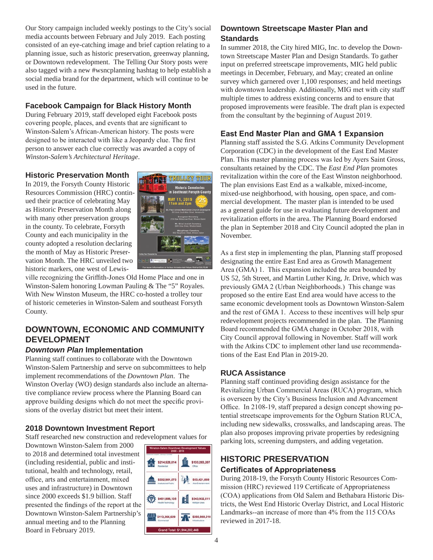Our Story campaign included weekly postings to the City's social media accounts between February and July 2019. Each posting consisted of an eye-catching image and brief caption relating to a planning issue, such as historic preservation, greenway planning, or Downtown redevelopment. The Telling Our Story posts were also tagged with a new #wsncplanning hashtag to help establish a social media brand for the department, which will continue to be used in the future.

# **Facebook Campaign for Black History Month**

During February 2019, staff developed eight Facebook posts covering people, places, and events that are significant to Winston-Salem's African-American history. The posts were designed to be interacted with like a Jeopardy clue. The first person to answer each clue correctly was awarded a copy of *Winston-Salem's Architectural Heritage*.

#### **Historic Preservation Month**

In 2019, the Forsyth County Historic Resources Commission (HRC) continued their practice of celebrating May as Historic Preservation Month along with many other preservation groups in the county. To celebrate, Forsyth County and each municipality in the county adopted a resolution declaring the month of May as Historic Preservation Month. The HRC unveiled two historic markers, one west of Lewis-



ville recognizing the Griffith-Jones Old Home Place and one in Winston-Salem honoring Lowman Pauling & The "5" Royales. With New Winston Museum, the HRC co-hosted a trolley tour of historic cemeteries in Winston-Salem and southeast Forsyth County.

# **DOWNTOWN, ECONOMIC AND COMMUNITY DEVELOPMENT**

#### *Downtown Plan* **Implementation**

Planning staff continues to collaborate with the Downtown Winston-Salem Partnership and serve on subcommittees to help implement recommendations of the *Downtown Plan*. The Winston Overlay (WO) design standards also include an alternative compliance review process where the Planning Board can approve building designs which do not meet the specific provisions of the overlay district but meet their intent.

### **2018 Downtown Investment Report**

Staff researched new construction and redevelopment values for

Downtown Winston-Salem from 2000 to 2018 and determined total investment (including residential, public and institutional, health and technology, retail, office, arts and entertainment, mixed uses and infrastructure) in Downtown since 2000 exceeds \$1.9 billion. Staff presented the findings of the report at the Downtown Winston-Salem Partnership's annual meeting and to the Planning Board in February 2019.

| \$214,528,814                                                       | \$133,283,207                      |
|---------------------------------------------------------------------|------------------------------------|
| Raskidevi                                                           | Office                             |
| \$332,901,573<br>mmu<br><b>BUILD</b><br><b>Institutional/Public</b> | \$53,421,069<br>Arts/Entertainment |
| \$451,886,135                                                       | \$343,932.811                      |
| <b>IsabVTechnology</b>                                              | <b>Multiple Uses</b>               |
| \$113,268,629                                                       | \$260,980,210                      |
| innain                                                              | <b>Infrastructure</b>              |

# **Downtown Streetscape Master Plan and Standards**

In summer 2018, the City hired MIG, Inc. to develop the Downtown Streetscape Master Plan and Design Standards. To gather input on preferred streetscape improvements, MIG held public meetings in December, February, and May; created an online survey which garnered over 1,100 responses; and held meetings with downtown leadership. Additionally, MIG met with city staff multiple times to address existing concerns and to ensure that proposed improvements were feasible. The draft plan is expected from the consultant by the beginning of August 2019.

## **East End Master Plan and GMA 1 Expansion**

Planning staff assisted the S.G. Atkins Community Development Corporation (CDC) in the development of the East End Master Plan. This master planning process was led by Ayers Saint Gross, consultants retained by the CDC. The *East End Plan* promotes revitalization within the core of the East Winston neighborhood. The plan envisions East End as a walkable, mixed-income, mixed-use neighborhood, with housing, open space, and commercial development. The master plan is intended to be used as a general guide for use in evaluating future development and revitalization efforts in the area. The Planning Board endorsed the plan in September 2018 and City Council adopted the plan in November.

As a first step in implementing the plan, Planning staff proposed designating the entire East End area as Growth Management Area (GMA) 1. This expansion included the area bounded by US 52, 5th Street, and Martin Luther King, Jr. Drive, which was previously GMA 2 (Urban Neighborhoods.) This change was proposed so the entire East End area would have access to the same economic development tools as Downtown Winston-Salem and the rest of GMA 1. Access to these incentives will help spur redevelopment projects recommended in the plan. The Planning Board recommended the GMA change in October 2018, with City Council approval following in November. Staff will work with the Atkins CDC to implement other land use recommendations of the East End Plan in 2019-20.

### **RUCA Assistance**

Planning staff continued providing design assistance for the Revitalizing Urban Commercial Areas (RUCA) program, which is overseen by the City's Business Inclusion and Advancement Office. In 2108-19, staff prepared a design concept showing potential streetscape improvements for the Ogburn Station RUCA, including new sidewalks, crosswalks, and landscaping areas. The plan also proposes improving private properties by redesigning parking lots, screening dumpsters, and adding vegetation.

# **HISTORIC PRESERVATION Certificates of Appropriateness**

During 2018-19, the Forsyth County Historic Resources Commission (HRC) reviewed 119 Certificate of Appropriateness (COA) applications from Old Salem and Bethabara Historic Districts, the West End Historic Overlay District, and Local Historic Landmarks--an increase of more than 4% from the 115 COAs reviewed in 2017-18.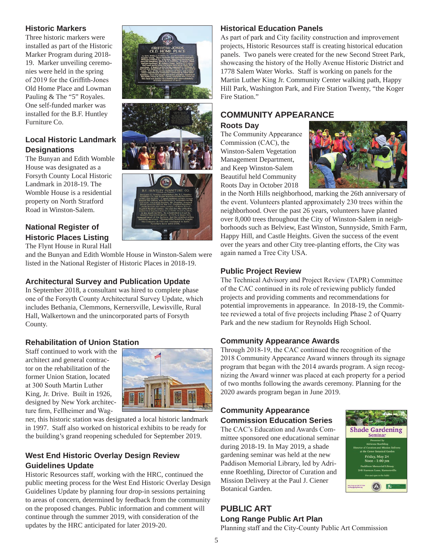### **Historic Markers**

Three historic markers were installed as part of the Historic Marker Program during 2018- 19. Marker unveiling ceremonies were held in the spring of 2019 for the Griffith-Jones Old Home Place and Lowman Pauling & The "5" Royales. One self-funded marker was installed for the B.F. Huntley Furniture Co.

# **Local Historic Landmark Designations**

The Bunyan and Edith Womble House was designated as a Forsyth County Local Historic Landmark in 2018-19. The Womble House is a residential property on North Stratford Road in Winston-Salem.

# **National Register of Historic Places Listing**

The Flynt House in Rural Hall

and the Bunyan and Edith Womble House in Winston-Salem were listed in the National Register of Historic Places in 2018-19.

# **Architectural Survey and Publication Update**

In September 2018, a consultant was hired to complete phase one of the Forsyth County Architectural Survey Update, which includes Bethania, Clemmons, Kernersville, Lewisville, Rural Hall, Walkertown and the unincorporated parts of Forsyth County.

# **Rehabilitation of Union Station**

Staff continued to work with the architect and general contractor on the rehabilitation of the former Union Station, located at 300 South Martin Luther King, Jr. Drive. Built in 1926, designed by New York architecture firm, Fellheimer and Wag-



ner, this historic station was designated a local historic landmark in 1997. Staff also worked on historical exhibits to be ready for the building's grand reopening scheduled for September 2019.

# **West End Historic Overlay Design Review Guidelines Update**

Historic Resources staff, working with the HRC, continued the public meeting process for the West End Historic Overlay Design Guidelines Update by planning four drop-in sessions pertaining to areas of concern, determined by feedback from the community on the proposed changes. Public information and comment will continue through the summer 2019, with consideration of the updates by the HRC anticipated for later 2019-20.

# **Historical Education Panels**

As part of park and City facility construction and improvement projects, Historic Resources staff is creating historical education panels. Two panels were created for the new Second Street Park, showcasing the history of the Holly Avenue Historic District and 1778 Salem Water Works. Staff is working on panels for the Martin Luther King Jr. Community Center walking path, Happy Hill Park, Washington Park, and Fire Station Twenty, "the Koger Fire Station."

# **COMMUNITY APPEARANCE**

**Roots Day** The Community Appearance Commission (CAC), the Winston-Salem Vegetation Management Department,



in the North Hills neighborhood, marking the 26th anniversary of the event. Volunteers planted approximately 230 trees within the neighborhood. Over the past 26 years, volunteers have planted over 8,000 trees throughout the City of Winston-Salem in neighborhoods such as Belview, East Winston, Sunnyside, Smith Farm, Happy Hill, and Castle Heights. Given the success of the event over the years and other City tree-planting efforts, the City was again named a Tree City USA.

### **Public Project Review**

The Technical Advisory and Project Review (TAPR) Committee of the CAC continued in its role of reviewing publicly funded projects and providing comments and recommendations for potential improvements in appearance. In 2018-19, the Committee reviewed a total of five projects including Phase 2 of Quarry Park and the new stadium for Reynolds High School.

# **Community Appearance Awards**

Through 2018-19, the CAC continued the recognition of the 2018 Community Appearance Award winners through its signage program that began with the 2014 awards program. A sign recognizing the Award winner was placed at each property for a period of two months following the awards ceremony. Planning for the 2020 awards program began in June 2019.

### **Community Appearance Commission Education Series**

The CAC's Education and Awards Committee sponsored one educational seminar during 2018-19. In May 2019, a shade gardening seminar was held at the new Paddison Memorial Library, led by Adrienne Roethling, Director of Curation and Mission Delivery at the Paul J. Ciener Botanical Garden.



# **PUBLIC ART Long Range Public Art Plan**

Planning staff and the City-County Public Art Commission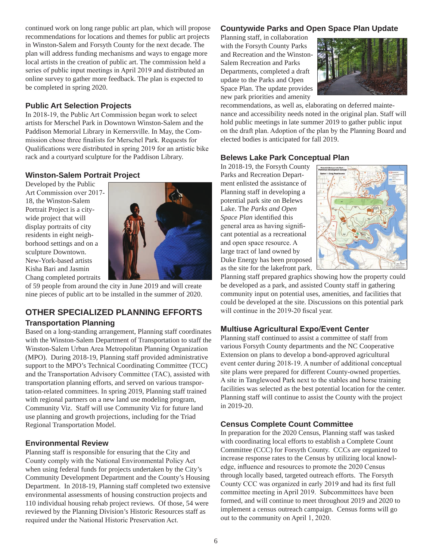continued work on long range public art plan, which will propose recommendations for locations and themes for public art projects in Winston-Salem and Forsyth County for the next decade. The plan will address funding mechanisms and ways to engage more local artists in the creation of public art. The commission held a series of public input meetings in April 2019 and distributed an online survey to gather more feedback. The plan is expected to be completed in spring 2020.

#### **Public Art Selection Projects**

In 2018-19, the Public Art Commission began work to select artists for Merschel Park in Downtown Winston-Salem and the Paddison Memorial Library in Kernersville. In May, the Commission chose three finalists for Merschel Park. Requests for Qualifications were distributed in spring 2019 for an artistic bike rack and a courtyard sculpture for the Paddison Library.

#### **Winston-Salem Portrait Project**

Developed by the Public Art Commission over 2017- 18, the Winston-Salem Portrait Project is a citywide project that will display portraits of city residents in eight neighborhood settings and on a sculpture Downtown. New-York-based artists Kisha Bari and Jasmin Chang completed portraits



of 59 people from around the city in June 2019 and will create nine pieces of public art to be installed in the summer of 2020.

# **OTHER SPECIALIZED PLANNING EFFORTS**

# **Transportation Planning**

Based on a long-standing arrangement, Planning staff coordinates with the Winston-Salem Department of Transportation to staff the Winston-Salem Urban Area Metropolitan Planning Organization (MPO). During 2018-19, Planning staff provided administrative support to the MPO's Technical Coordinating Committee (TCC) and the Transportation Advisory Committee (TAC), assisted with transportation planning efforts, and served on various transportation-related committees. In spring 2019, Planning staff trained with regional partners on a new land use modeling program, Community Viz. Staff will use Community Viz for future land use planning and growth projections, including for the Triad Regional Transportation Model.

#### **Environmental Review**

Planning staff is responsible for ensuring that the City and County comply with the National Environmental Policy Act when using federal funds for projects undertaken by the City's Community Development Department and the County's Housing Department. In 2018-19, Planning staff completed two extensive environmental assessments of housing construction projects and 110 individual housing rehab project reviews. Of those, 54 were reviewed by the Planning Division's Historic Resources staff as required under the National Historic Preservation Act.

### **Countywide Parks and Open Space Plan Update**

Planning staff, in collaboration with the Forsyth County Parks and Recreation and the Winston-Salem Recreation and Parks Departments, completed a draft update to the Parks and Open Space Plan. The update provides new park priorities and amenity



recommendations, as well as, elaborating on deferred maintenance and accessibility needs noted in the original plan. Staff will hold public meetings in late summer 2019 to gather public input on the draft plan. Adoption of the plan by the Planning Board and elected bodies is anticipated for fall 2019.

#### **Belews Lake Park Conceptual Plan**

In 2018-19, the Forsyth County Parks and Recreation Department enlisted the assistance of Planning staff in developing a potential park site on Belews Lake. The *Parks and Open Space Plan* identified this general area as having significant potential as a recreational and open space resource. A large tract of land owned by Duke Energy has been proposed as the site for the lakefront park.



Planning staff prepared graphics showing how the property could be developed as a park, and assisted County staff in gathering community input on potential uses, amenities, and facilities that could be developed at the site. Discussions on this potential park will continue in the 2019-20 fiscal year.

### **Multiuse Agricultural Expo/Event Center**

Planning staff continued to assist a committee of staff from various Forsyth County departments and the NC Cooperative Extension on plans to develop a bond-approved agricultural event center during 2018-19. A number of additional conceptual site plans were prepared for different County-owned properties. A site in Tanglewood Park next to the stables and horse training facilities was selected as the best potential location for the center. Planning staff will continue to assist the County with the project in 2019-20.

### **Census Complete Count Committee**

In preparation for the 2020 Census, Planning staff was tasked with coordinating local efforts to establish a Complete Count Committee (CCC) for Forsyth County. CCCs are organized to increase response rates to the Census by utilizing local knowledge, influence and resources to promote the 2020 Census through locally based, targeted outreach efforts. The Forsyth County CCC was organized in early 2019 and had its first full committee meeting in April 2019. Subcommittees have been formed, and will continue to meet throughout 2019 and 2020 to implement a census outreach campaign. Census forms will go out to the community on April 1, 2020.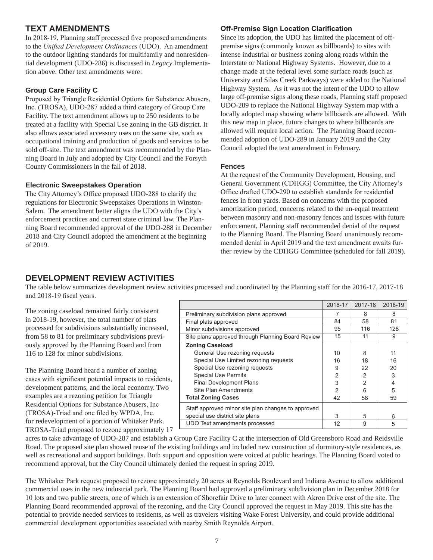# **TEXT AMENDMENTS**

In 2018-19, Planning staff processed five proposed amendments to the *Unified Development Ordinances* (UDO). An amendment to the outdoor lighting standards for multifamily and nonresidential development (UDO-286) is discussed in *Legacy* Implementation above. Other text amendments were:

#### **Group Care Facility C**

Proposed by Triangle Residential Options for Substance Abusers, Inc. (TROSA), UDO-287 added a third category of Group Care Facility. The text amendment allows up to 250 residents to be treated at a facility with Special Use zoning in the GB district. It also allows associated accessory uses on the same site, such as occupational training and production of goods and services to be sold off-site. The text amendment was recommended by the Planning Board in July and adopted by City Council and the Forsyth County Commissioners in the fall of 2018.

#### **Electronic Sweepstakes Operation**

The City Attorney's Office proposed UDO-288 to clarify the regulations for Electronic Sweepstakes Operations in Winston-Salem. The amendment better aligns the UDO with the City's enforcement practices and current state criminal law. The Planning Board recommended approval of the UDO-288 in December 2018 and City Council adopted the amendment at the beginning of 2019.

#### **Off-Premise Sign Location Clarification**

Since its adoption, the UDO has limited the placement of offpremise signs (commonly known as billboards) to sites with intense industrial or business zoning along roads within the Interstate or National Highway Systems. However, due to a change made at the federal level some surface roads (such as University and Silas Creek Parkways) were added to the National Highway System. As it was not the intent of the UDO to allow large off-premise signs along these roads, Planning staff proposed UDO-289 to replace the National Highway System map with a locally adopted map showing where billboards are allowed. With this new map in place, future changes to where billboards are allowed will require local action. The Planning Board recommended adoption of UDO-289 in January 2019 and the City Council adopted the text amendment in February.

#### **Fences**

At the request of the Community Development, Housing, and General Government (CDHGG) Committee, the City Attorney's Office drafted UDO-290 to establish standards for residential fences in front yards. Based on concerns with the proposed amortization period, concerns related to the un-equal treatment between masonry and non-masonry fences and issues with future enforcement, Planning staff recommended denial of the request to the Planning Board. The Planning Board unanimously recommended denial in April 2019 and the text amendment awaits further review by the CDHGG Committee (scheduled for fall 2019).

### **DEVELOPMENT REVIEW ACTIVITIES**

The table below summarizes development review activities processed and coordinated by the Planning staff for the 2016-17, 2017-18 and 2018-19 fiscal years.

The zoning caseload remained fairly consistent in 2018-19, however, the total number of plats processed for subdivisions substantially increased, from 58 to 81 for preliminary subdivisions previously approved by the Planning Board and from 116 to 128 for minor subdivisions.

The Planning Board heard a number of zoning cases with significant potential impacts to residents, development patterns, and the local economy. Two examples are a rezoning petition for Triangle Residential Options for Substance Abusers, Inc (TROSA)-Triad and one filed by WPDA, Inc. for redevelopment of a portion of Whitaker Park. TROSA-Triad proposed to rezone approximately 17

|                                                    | 2016-17 | 2017-18        | 2018-19 |
|----------------------------------------------------|---------|----------------|---------|
| Preliminary subdivision plans approved             |         | 8              | 8       |
| Final plats approved                               | 84      | 58             | 81      |
| Minor subdivisions approved                        | 95      | 116            | 128     |
| Site plans approved through Planning Board Review  | 15      | 11             | 9       |
| <b>Zoning Caseload</b>                             |         |                |         |
| General Use rezoning requests                      | 10      | 8              | 11      |
| Special Use Limited rezoning requests              | 16      | 18             | 16      |
| Special Use rezoning requests                      | 9       | 22             | 20      |
| <b>Special Use Permits</b>                         | 2       | 2              | 3       |
| <b>Final Development Plans</b>                     | 3       | $\overline{2}$ | 4       |
| Site Plan Amendments                               | 2       | 6              | 5       |
| <b>Total Zoning Cases</b>                          | 42      | 58             | 59      |
| Staff approved minor site plan changes to approved |         |                |         |
| special use district site plans                    | 3       | 5              | 6       |
| UDO Text amendments processed                      | 12      | 9              | 5       |

acres to take advantage of UDO-287 and establish a Group Care Facility C at the intersection of Old Greensboro Road and Reidsville Road. The proposed site plan showed reuse of the existing buildings and included new construction of dormitory-style residences, as well as recreational and support buildings. Both support and opposition were voiced at public hearings. The Planning Board voted to recommend approval, but the City Council ultimately denied the request in spring 2019.

The Whitaker Park request proposed to rezone approximately 20 acres at Reynolds Boulevard and Indiana Avenue to allow additional commercial uses in the new industrial park. The Planning Board had approved a preliminary subdivision plan in December 2018 for 10 lots and two public streets, one of which is an extension of Shorefair Drive to later connect with Akron Drive east of the site. The Planning Board recommended approval of the rezoning, and the City Council approved the request in May 2019. This site has the potential to provide needed services to residents, as well as travelers visiting Wake Forest University, and could provide additional commercial development opportunities associated with nearby Smith Reynolds Airport.